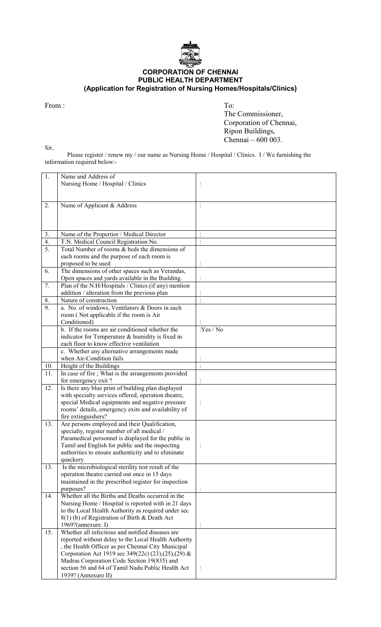

## CORPORATION OF CHENNAI PUBLIC HEALTH DEPARTMENT (Application for Registration of Nursing Homes/Hospitals/Clinics)

From : To:

Sir,

 The Commissioner, Corporation of Chennai, Ripon Buildings, Chennai – 600 003.

 Please register / renew my / our name as Nursing Home / Hospital / Clinics. I / We furnishing the information required below:-

| $\overline{1}$ . | Name and Address of                                                                                     |                      |
|------------------|---------------------------------------------------------------------------------------------------------|----------------------|
|                  | Nursing Home / Hospital / Clinics                                                                       | $\vdots$             |
|                  |                                                                                                         |                      |
|                  |                                                                                                         |                      |
| 2.               | Name of Applicant & Address                                                                             | $\ddot{\cdot}$       |
|                  |                                                                                                         |                      |
|                  |                                                                                                         |                      |
|                  |                                                                                                         |                      |
| 3.               | Name of the Propertior / Medical Director                                                               | $\vdots$             |
| $\overline{4}$ . | T.N. Medical Council Registration No.                                                                   | $\ddot{\cdot}$       |
| 5.               | Total Number of rooms & beds the dimensions of                                                          |                      |
|                  | each rooms and the purpose of each room is                                                              |                      |
|                  | proposed to be used                                                                                     |                      |
| 6.               | The dimensions of other spaces such as Verandas,                                                        |                      |
|                  | Open spaces and yards available in the Building.                                                        |                      |
| 7.               | Plan of the N.H/Hospitals / Clinics (if any) mention                                                    |                      |
|                  | addition / alteration from the previous plan                                                            |                      |
| 8.               | Nature of construction                                                                                  | $\ddot{\phantom{0}}$ |
| 9.               | a. No. of windows, Ventilators & Doors in each                                                          |                      |
|                  | room (Not applicable if the room is Air                                                                 |                      |
|                  | Conditioned)                                                                                            |                      |
|                  | b. If the rooms are air conditioned whether the                                                         | Yes/No               |
|                  | indicator for Temperature & humidity is fixed in                                                        |                      |
|                  | each floor to know effective ventilation                                                                |                      |
|                  | c. Whether any alternative arrangements made                                                            |                      |
|                  | when Air-Condition fails                                                                                |                      |
| 10.              | Height of the Buildings                                                                                 | $\ddot{\cdot}$       |
| 11.              | In case of fire; What is the arrangements provided                                                      |                      |
|                  | for emergency exit?                                                                                     | $\ddot{\cdot}$       |
| 12.              | Is there any blue print of building plan displayed                                                      |                      |
|                  | with specialty services offered, operation theatre,<br>special Medical equipments and negative pressure |                      |
|                  | rooms' details, emergency exits and availability of                                                     | $\vdots$             |
|                  | fire extinguishers?                                                                                     |                      |
| 13.              | Are persons employed and their Qualification,                                                           |                      |
|                  | specialty, register number of all medical /                                                             |                      |
|                  | Paramedical personnel is displayed for the public in                                                    |                      |
|                  | Tamil and English for public and the inspecting                                                         |                      |
|                  | authorities to ensure authenticity and to eliminate                                                     |                      |
|                  | quackery.                                                                                               |                      |
| 13.              | Is the microbiological sterility test result of the                                                     |                      |
|                  | operation theatre carried out once in 15 days                                                           |                      |
|                  | maintained in the prescribed register for inspection                                                    |                      |
|                  | purposes?                                                                                               |                      |
| 14.              | Whether all the Births and Deaths occurred in the                                                       |                      |
|                  | Nursing Home / Hospital is reported with in 21 days                                                     |                      |
|                  | to the Local Health Authority as required under sec                                                     |                      |
|                  | 8(1) (b) of Registration of Birth & Death Act                                                           |                      |
|                  | 1969?(annexure. I)                                                                                      |                      |
| 15.              | Whether all infectious and notified diseases are                                                        |                      |
|                  | reported without delay to the Local Health Authority                                                    |                      |
|                  | , the Health Officer as per Chennai City Municipal                                                      |                      |
|                  | Corporation Act 1919 sec 349(22c) (23), (25), (29) &                                                    |                      |
|                  | Madras Corporation Code Section 19(835) and                                                             |                      |
|                  | section 56 and 64 of Tamil Nadu Public Health Act                                                       |                      |
|                  | 1939? (Annexure II)                                                                                     |                      |